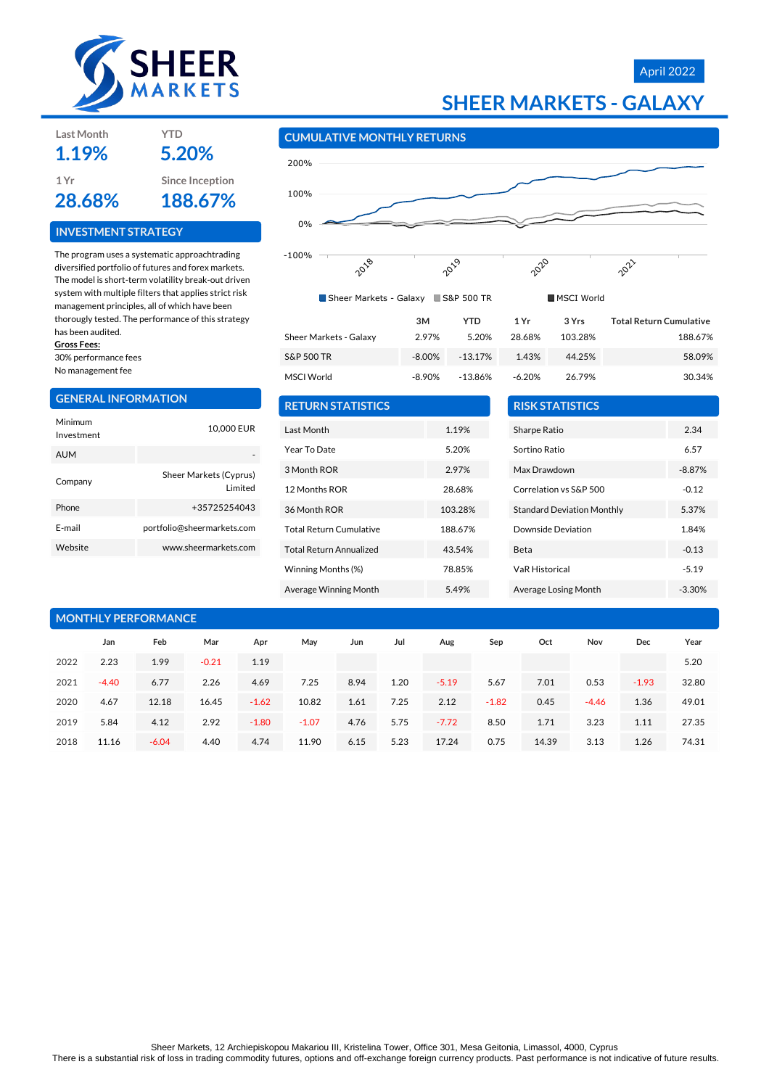

## April 2022

# **SHEER MARKETS - GALAXY**

#### **CUMULATIVE MONTHLY RETURNS**



| Sheer Markets - Galaxy S&P 500 TR |           |           |          | <b>MSCI World</b> |                                |
|-----------------------------------|-----------|-----------|----------|-------------------|--------------------------------|
|                                   | 3M        | YTD       | 1 Yr     | 3 Yrs             | <b>Total Return Cumulative</b> |
| Sheer Markets - Galaxy            | 2.97%     | 5.20%     | 28.68%   | 103.28%           | 188.67%                        |
| <b>S&amp;P 500 TR</b>             | $-8.00\%$ | $-13.17%$ | 1.43%    | 44.25%            | 58.09%                         |
| <b>MSCI World</b>                 | $-8.90\%$ | $-13.86%$ | $-6.20%$ | 26.79%            | 30.34%                         |

| 3М    | YTD       | 1 Yr     | 3 Yrs   | <b>Total Return Cumulative</b> |
|-------|-----------|----------|---------|--------------------------------|
| 2.97% | 5.20%     | 28.68%   | 103.28% | 188.67%                        |
| 8.00% | $-13.17%$ | 1.43%    | 44.25%  | 58.09%                         |
| 8.90% | $-13.86%$ | $-6.20%$ | 26.79%  | 30.34%                         |

| <b>RETURN STATISTICS</b> |         |  |  |  |  |  |  |
|--------------------------|---------|--|--|--|--|--|--|
| Last Month               | 1.19%   |  |  |  |  |  |  |
| Year To Date             | 5.20%   |  |  |  |  |  |  |
| 3 Month ROR              | 2.97%   |  |  |  |  |  |  |
| 12 Months ROR            | 28.68%  |  |  |  |  |  |  |
| 36 Month ROR             | 103.28% |  |  |  |  |  |  |
| Total Return Cumulative  | 188.67% |  |  |  |  |  |  |
| Total Return Annualized  | 43.54%  |  |  |  |  |  |  |
| Winning Months (%)       | 78.85%  |  |  |  |  |  |  |
| Average Winning Month    | 5.49%   |  |  |  |  |  |  |

| <b>RISK STATISTICS</b>            |          |
|-----------------------------------|----------|
| Sharpe Ratio                      | 2.34     |
| Sortino Ratio                     | 6.57     |
| Max Drawdown                      | $-8.87%$ |
| Correlation vs S&P 500            | $-0.12$  |
| <b>Standard Deviation Monthly</b> | 5.37%    |
| Downside Deviation                | 1.84%    |
| Beta                              | $-0.13$  |
| <b>VaR Historical</b>             | $-5.19$  |
| Average Losing Month              | $-3.30%$ |

| <b>MONTHLY PERFORMANCE</b> |         |         |         |         |         |      |      |         |         |       |         |         |       |
|----------------------------|---------|---------|---------|---------|---------|------|------|---------|---------|-------|---------|---------|-------|
|                            | Jan     | Feb     | Mar     | Apr     | May     | Jun  | Jul  | Aug     | Sep     | Oct   | Nov     | Dec     | Year  |
| 2022                       | 2.23    | 1.99    | $-0.21$ | 1.19    |         |      |      |         |         |       |         |         | 5.20  |
| 2021                       | $-4.40$ | 6.77    | 2.26    | 4.69    | 7.25    | 8.94 | 1.20 | $-5.19$ | 5.67    | 7.01  | 0.53    | $-1.93$ | 32.80 |
| 2020                       | 4.67    | 12.18   | 16.45   | $-1.62$ | 10.82   | 1.61 | 7.25 | 2.12    | $-1.82$ | 0.45  | $-4.46$ | 1.36    | 49.01 |
| 2019                       | 5.84    | 4.12    | 2.92    | $-1.80$ | $-1.07$ | 4.76 | 5.75 | $-7.72$ | 8.50    | 1.71  | 3.23    | 1.11    | 27.35 |
| 2018                       | 11.16   | $-6.04$ | 4.40    | 4.74    | 11.90   | 6.15 | 5.23 | 17.24   | 0.75    | 14.39 | 3.13    | 1.26    | 74.31 |

#### **INVESTMENT STRATEGY**

**Last Month YTD**

The program uses a systematic approachtrading diversified portfolio of futures and forex markets. The model is short-term volatility break-out driven system with multiple filters that applies strict risk management principles, all of which have been thorougly tested. The performance of this strategy has been audited.

### **Gross Fees:**

30% performance fees No management fee

**GENERAL INFORMATION**

| Minimum<br>Investment | 10,000 EUR                         |
|-----------------------|------------------------------------|
| <b>AUM</b>            |                                    |
| Company               | Sheer Markets (Cyprus)<br>I imited |
| Phone                 | +35725254043                       |
| F-mail                | portfolio@sheermarkets.com         |
| Website               | www.sheermarkets.com               |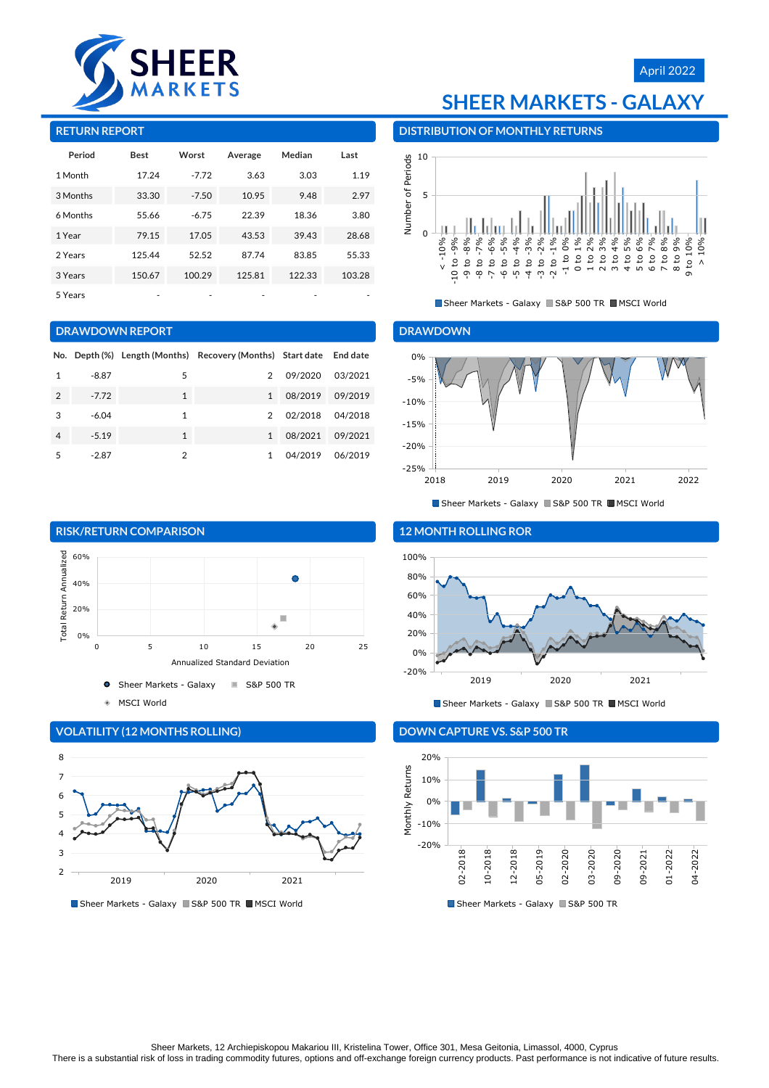

# **SHEER MARKETS - GALAXY**

April 2022

#### **RETURN REPORT**

| Period   | <b>Best</b> | Worst   | Average | Median | Last   |
|----------|-------------|---------|---------|--------|--------|
| 1 Month  | 17.24       | $-7.72$ | 3.63    | 3.03   | 1.19   |
| 3 Months | 33.30       | $-7.50$ | 10.95   | 9.48   | 2.97   |
| 6 Months | 55.66       | $-6.75$ | 22.39   | 18.36  | 3.80   |
| 1 Year   | 79.15       | 17.05   | 43.53   | 39.43  | 28.68  |
| 2 Years  | 125.44      | 52.52   | 87.74   | 83.85  | 55.33  |
| 3 Years  | 150.67      | 100.29  | 125.81  | 122.33 | 103.28 |
| 5 Years  |             |         |         |        |        |

#### **DRAWDOWN REPORT**

|   |         |              | No. Depth (%) Length (Months) Recovery (Months) Start date |         | <b>End date</b> |
|---|---------|--------------|------------------------------------------------------------|---------|-----------------|
|   | $-8.87$ | 5            | $\mathcal{P}$                                              | 09/2020 | 03/2021         |
| 2 | $-7.72$ | $\mathbf{1}$ | 1                                                          | 08/2019 | 09/2019         |
| 3 | $-6.04$ | 1            | $\mathcal{P}$                                              | 02/2018 | 04/2018         |
| 4 | $-5.19$ | 1            | $\mathbf{1}$                                               | 08/2021 | 09/2021         |
| 5 | $-2.87$ | 2            |                                                            | 04/2019 | 06/2019         |



### 5 6 7 8

**VOLATILITY (12 MONTHS ROLLING)**

2 3  $\overline{ }$ 



Sheer Markets - Galaxy S&P 500 TR MSCI World

#### **DISTRIBUTION OF MONTHLY RETURNS**



Sheer Markets - Galaxy S&P 500 TR MSCI World

#### **DRAWDOWN**



Sheer Markets - Galaxy S&P 500 TR MSCI World



Sheer Markets - Galaxy S&P 500 TR MSCI World

### **DOWN CAPTURE VS. S&P 500 TR**